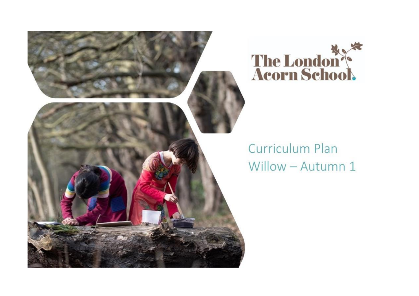



## Curriculum Plan Willow - Autumn 1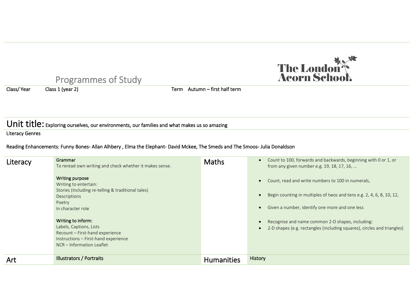

# Programmes of Study<br>Class 1 (year 2)

Class/ Year Class 1 (year 2) Class Term Autumn – first half term

## Unit title: Exploring ourselves, our environments, our families and what makes us so amazing

Literacy Genres

### Reading Enhancements: Funny Bones- Allan Alhbery , Elma the Elephant- David Mckee, The Smeds and The Smoos- Julia Donaldson

| Literacy | Grammar<br>To reread own writing and check whether it makes sense.                                                                                    | <b>Maths</b>      | Count to 100, forwards and backwards, beginning with 0 or 1, or<br>from any given number e.g. 19, 18, 17, 16,                                                                |
|----------|-------------------------------------------------------------------------------------------------------------------------------------------------------|-------------------|------------------------------------------------------------------------------------------------------------------------------------------------------------------------------|
|          | Writing purpose<br>Writing to entertain:<br>Stories (Including re-telling & traditional tales)<br>Descriptions<br>Poetry<br>In character role         |                   | Count, read and write numbers to 100 in numerals,<br>Begin counting in multiples of twos and tens e.g. 2, 4, 6, 8, 10, 12,<br>Given a number, identify one more and one less |
|          | Writing to inform:<br>Labels, Captions, Lists<br>Recount - First-hand experience<br>Instructions - First-hand experience<br>NCR - Information Leaflet |                   | Recognise and name common 2-D shapes, including:<br>2-D shapes (e.g. rectangles (including squares), circles and triangles)                                                  |
| Art      | <b>Illustrators / Portraits</b>                                                                                                                       | <b>Humanities</b> | History                                                                                                                                                                      |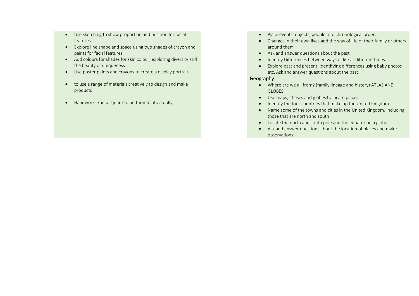- Use sketching to show proportion and position for facial features
- Explore line shape and space using two shades of crayon and paints for facial features
- Add colours for shades for skin colour, exploring diversity and the beauty of uniqueness
- Use poster paints and crayons to create a display portrait.
- to use a range of materials creatively to design and make products
- Handwork- knit a square to be turned into a dolly
- Place events, objects, people into chronological order.
- Changes in their own lives and the way of life of their family or others around them
- Ask and answer questions about the past
- Identify Differences between ways of life at different times.
- Explore past and present, identifying differences using baby photos etc. Ask and answer questions about the past

#### Geography

- Where are we all from? (family lineage and history) ATLAS AND GLOBES
- Use maps, atlases and globes to locate places
- Identify the four countries that make up the United Kingdom
- Name some of the towns and cities in the United Kingdom, including those that are north and south
- Locate the north and south pole and the equator on a globe
- Ask and answer questions about the location of places and make observations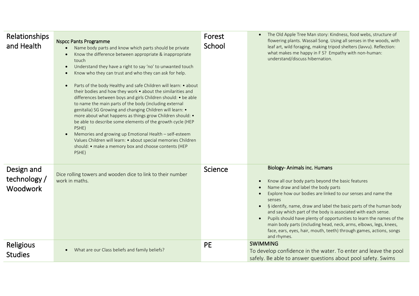| Relationships<br>and Health                   | <b>Nspcc Pants Programme</b><br>Name body parts and know which parts should be private<br>$\bullet$<br>Know the difference between appropriate & inappropriate<br>$\bullet$<br>touch<br>Understand they have a right to say 'no' to unwanted touch<br>$\bullet$<br>Know who they can trust and who they can ask for help.<br>$\bullet$<br>Parts of the body Healthy and safe Children will learn: • about<br>$\bullet$<br>their bodies and how they work . about the similarities and<br>differences between boys and girls Children should: • be able<br>to name the main parts of the body (including external<br>genitalia) SG Growing and changing Children will learn: •<br>more about what happens as things grow Children should: •<br>be able to describe some elements of the growth cycle (HEP<br>PSHE)<br>Memories and growing up Emotional Health - self-esteem<br>$\bullet$<br>Values Children will learn: • about special memories Children<br>should: • make a memory box and choose contents (HEP<br>PSHE) | Forest<br>School | The Old Apple Tree Man story: Kindness, food webs, structure of<br>$\bullet$<br>flowering plants. Wassail Song. Using all senses in the woods, with<br>leaf art, wild foraging, making tripod shelters (lavvu). Reflection:<br>what makes me happy in FS? Empathy with non-human:<br>understand/discuss hibernation.                                                                                                                                                                                                                                                                                                     |
|-----------------------------------------------|----------------------------------------------------------------------------------------------------------------------------------------------------------------------------------------------------------------------------------------------------------------------------------------------------------------------------------------------------------------------------------------------------------------------------------------------------------------------------------------------------------------------------------------------------------------------------------------------------------------------------------------------------------------------------------------------------------------------------------------------------------------------------------------------------------------------------------------------------------------------------------------------------------------------------------------------------------------------------------------------------------------------------|------------------|--------------------------------------------------------------------------------------------------------------------------------------------------------------------------------------------------------------------------------------------------------------------------------------------------------------------------------------------------------------------------------------------------------------------------------------------------------------------------------------------------------------------------------------------------------------------------------------------------------------------------|
| Design and<br>technology /<br><b>Woodwork</b> | Dice rolling towers and wooden dice to link to their number<br>work in maths.                                                                                                                                                                                                                                                                                                                                                                                                                                                                                                                                                                                                                                                                                                                                                                                                                                                                                                                                              | Science          | <b>Biology-Animals inc. Humans</b><br>Know all our body parts beyond the basic features<br>$\bullet$<br>Name draw and label the body parts<br>$\bullet$<br>Explore how our bodies are linked to our senses and name the<br>$\bullet$<br>senses<br>§ identify, name, draw and label the basic parts of the human body<br>and say which part of the body is associated with each sense.<br>Pupils should have plenty of opportunities to learn the names of the<br>main body parts (including head, neck, arms, elbows, legs, knees,<br>face, ears, eyes, hair, mouth, teeth) through games, actions, songs<br>and rhymes. |
| Religious<br><b>Studies</b>                   | What are our Class beliefs and family beliefs?<br>$\bullet$                                                                                                                                                                                                                                                                                                                                                                                                                                                                                                                                                                                                                                                                                                                                                                                                                                                                                                                                                                | <b>PE</b>        | <b>SWIMMING</b><br>To develop confidence in the water. To enter and leave the pool<br>safely. Be able to answer questions about pool safety. Swims                                                                                                                                                                                                                                                                                                                                                                                                                                                                       |